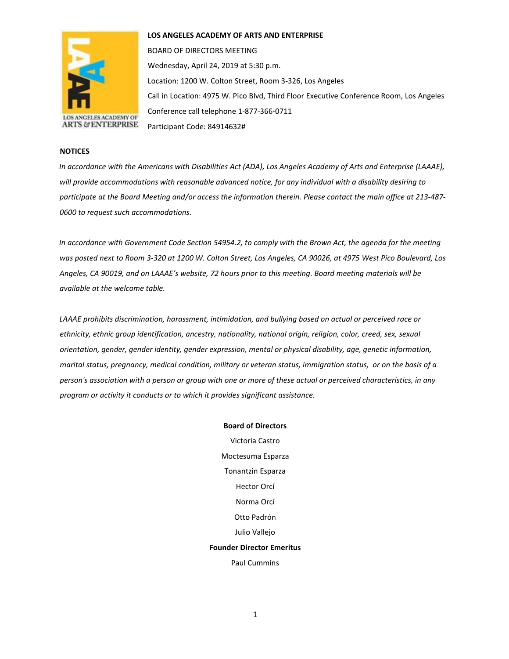

#### **LOS ANGELES ACADEMY OF ARTS AND ENTERPRISE**

BOARD OF DIRECTORS MEETING Wednesday, April 24, 2019 at 5:30 p.m. Location: 1200 W. Colton Street, Room 3-326, Los Angeles Call in Location: 4975 W. Pico Blvd, Third Floor Executive Conference Room, Los Angeles Conference call telephone 1-877-366-0711 Participant Code: 84914632#

#### **NOTICES**

*In accordance with the Americans with Disabilities Act (ADA), Los Angeles Academy of Arts and Enterprise (LAAAE), will provide accommodations with reasonable advanced notice, for any individual with a disability desiring to participate at the Board Meeting and/or access the information therein. Please contact the main office at 213-487- 0600 to request such accommodations.* 

*In accordance with Government Code Section 54954.2, to comply with the Brown Act, the agenda for the meeting was posted next to Room 3-320 at 1200 W. Colton Street, Los Angeles, CA 90026, at 4975 West Pico Boulevard, Los Angeles, CA 90019, and on LAAAE's website, 72 hours prior to this meeting. Board meeting materials will be available at the welcome table.* 

*LAAAE prohibits discrimination, harassment, intimidation, and bullying based on actual or perceived race or ethnicity, ethnic group identification, ancestry, nationality, national origin, religion, color, creed, sex, sexual orientation, gender, gender identity, gender expression, mental or physical disability, age, genetic information, marital status, pregnancy, medical condition, military or veteran status, immigration status, or on the basis of a person's association with a person or group with one or more of these actual or perceived characteristics, in any program or activity it conducts or to which it provides significant assistance.* 

> **Board of Directors** Victoria Castro Moctesuma Esparza Tonantzin Esparza Hector Orcí Norma Orcí Otto Padrón Julio Vallejo **Founder Director Emeritus** Paul Cummins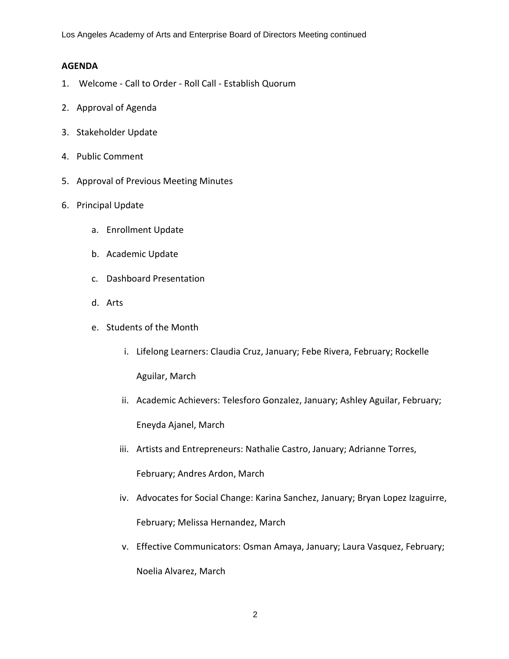Los Angeles Academy of Arts and Enterprise Board of Directors Meeting continued

## **AGENDA**

- 1. Welcome Call to Order Roll Call Establish Quorum
- 2. Approval of Agenda
- 3. Stakeholder Update
- 4. Public Comment
- 5. Approval of Previous Meeting Minutes
- 6. Principal Update
	- a. Enrollment Update
	- b. Academic Update
	- c. Dashboard Presentation
	- d. Arts
	- e. Students of the Month
		- i. Lifelong Learners: Claudia Cruz, January; Febe Rivera, February; Rockelle Aguilar, March
		- ii. Academic Achievers: Telesforo Gonzalez, January; Ashley Aguilar, February; Eneyda Ajanel, March
		- iii. Artists and Entrepreneurs: Nathalie Castro, January; Adrianne Torres,

February; Andres Ardon, March

- iv. Advocates for Social Change: Karina Sanchez, January; Bryan Lopez Izaguirre, February; Melissa Hernandez, March
- v. Effective Communicators: Osman Amaya, January; Laura Vasquez, February; Noelia Alvarez, March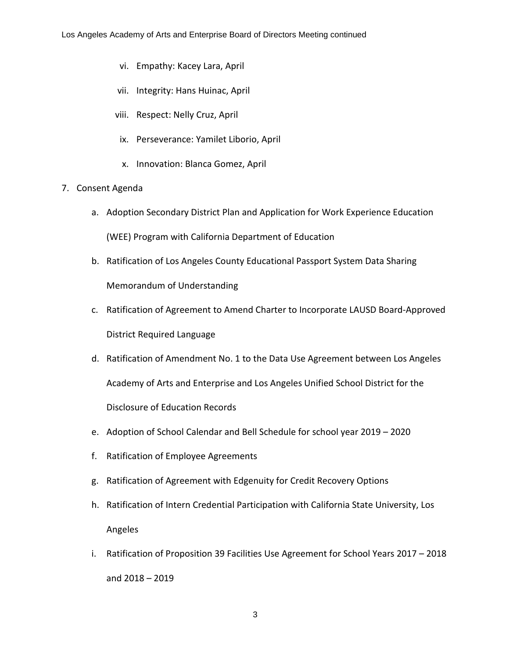- vi. Empathy: Kacey Lara, April
- vii. Integrity: Hans Huinac, April
- viii. Respect: Nelly Cruz, April
- ix. Perseverance: Yamilet Liborio, April
- x. Innovation: Blanca Gomez, April
- 7. Consent Agenda
	- a. Adoption Secondary District Plan and Application for Work Experience Education (WEE) Program with California Department of Education
	- b. Ratification of Los Angeles County Educational Passport System Data Sharing Memorandum of Understanding
	- c. Ratification of Agreement to Amend Charter to Incorporate LAUSD Board-Approved District Required Language
	- d. Ratification of Amendment No. 1 to the Data Use Agreement between Los Angeles Academy of Arts and Enterprise and Los Angeles Unified School District for the Disclosure of Education Records
	- e. Adoption of School Calendar and Bell Schedule for school year 2019 2020
	- f. Ratification of Employee Agreements
	- g. Ratification of Agreement with Edgenuity for Credit Recovery Options
	- h. Ratification of Intern Credential Participation with California State University, Los Angeles
	- i. Ratification of Proposition 39 Facilities Use Agreement for School Years 2017 2018 and 2018 – 2019